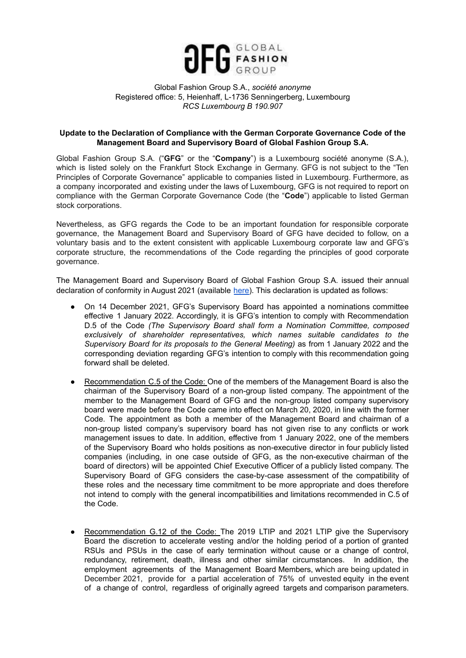

## Global Fashion Group S.A., *société anonyme* Registered office: 5, Heienhaff, L-1736 Senningerberg, Luxembourg *RCS Luxembourg B 190.907*

## **Update to the Declaration of Compliance with the German Corporate Governance Code of the Management Board and Supervisory Board of Global Fashion Group S.A.**

Global Fashion Group S.A. ("**GFG**" or the "**Company**") is a Luxembourg société anonyme (S.A.), which is listed solely on the Frankfurt Stock Exchange in Germany. GFG is not subject to the "Ten Principles of Corporate Governance" applicable to companies listed in Luxembourg. Furthermore, as a company incorporated and existing under the laws of Luxembourg, GFG is not required to report on compliance with the German Corporate Governance Code (the "**Code**") applicable to listed German stock corporations.

Nevertheless, as GFG regards the Code to be an important foundation for responsible corporate governance, the Management Board and Supervisory Board of GFG have decided to follow, on a voluntary basis and to the extent consistent with applicable Luxembourg corporate law and GFG's corporate structure, the recommendations of the Code regarding the principles of good corporate governance.

The Management Board and Supervisory Board of Global Fashion Group S.A. issued their annual declaration of conformity in August 2021 (available [here\)](https://ir.global-fashion-group.com/download/companies/globalfashion/CorporateGovernance/20210820_DECLARATION_COMPLIANCE.pdf). This declaration is updated as follows:

- On 14 December 2021, GFG's Supervisory Board has appointed a nominations committee effective 1 January 2022. Accordingly, it is GFG's intention to comply with Recommendation D.5 of the Code *(The Supervisory Board shall form a Nomination Committee, composed exclusively of shareholder representatives, which names suitable candidates to the Supervisory Board for its proposals to the General Meeting)* as from 1 January 2022 and the corresponding deviation regarding GFG's intention to comply with this recommendation going forward shall be deleted.
- Recommendation C.5 of the Code: One of the members of the Management Board is also the chairman of the Supervisory Board of a non-group listed company. The appointment of the member to the Management Board of GFG and the non-group listed company supervisory board were made before the Code came into effect on March 20, 2020, in line with the former Code. The appointment as both a member of the Management Board and chairman of a non-group listed company's supervisory board has not given rise to any conflicts or work management issues to date. In addition, effective from 1 January 2022, one of the members of the Supervisory Board who holds positions as non-executive director in four publicly listed companies (including, in one case outside of GFG, as the non-executive chairman of the board of directors) will be appointed Chief Executive Officer of a publicly listed company. The Supervisory Board of GFG considers the case-by-case assessment of the compatibility of these roles and the necessary time commitment to be more appropriate and does therefore not intend to comply with the general incompatibilities and limitations recommended in C.5 of the Code.
- Recommendation G.12 of the Code: The 2019 LTIP and 2021 LTIP give the Supervisory Board the discretion to accelerate vesting and/or the holding period of a portion of granted RSUs and PSUs in the case of early termination without cause or a change of control, redundancy, retirement, death, illness and other similar circumstances. In addition, the employment agreements of the Management Board Members, which are being updated in December 2021, provide for a partial acceleration of 75% of unvested equity in the event of a change of control, regardless of originally agreed targets and comparison parameters.